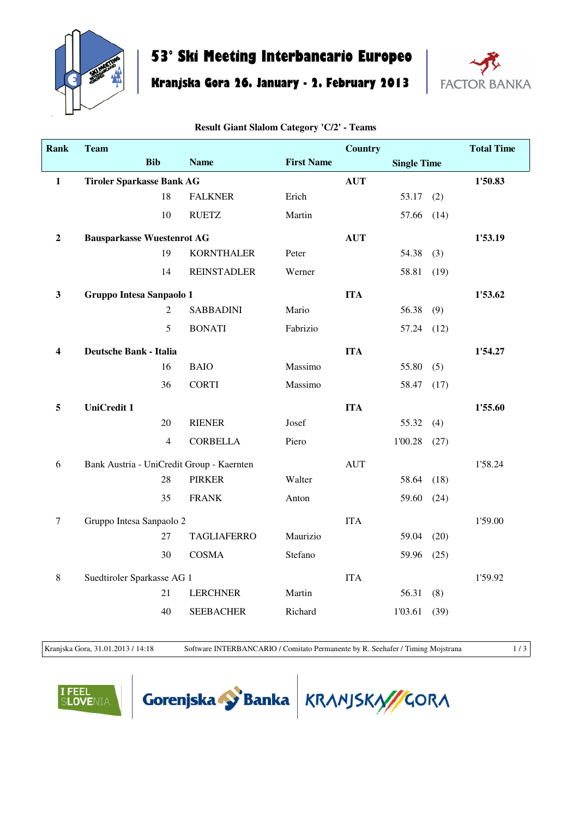

## **53° Ski Meeting Interbancario Europeo**

**Kranjska Gora 26. January - 2. February 2013**



| <b>Rank</b>      | <b>Team</b>                       |                |                                           |                   | <b>Country</b> |                    |         | <b>Total Time</b> |
|------------------|-----------------------------------|----------------|-------------------------------------------|-------------------|----------------|--------------------|---------|-------------------|
|                  |                                   | <b>Bib</b>     | <b>Name</b>                               | <b>First Name</b> |                | <b>Single Time</b> |         |                   |
| $\mathbf{1}$     | <b>Tiroler Sparkasse Bank AG</b>  |                |                                           |                   | <b>AUT</b>     |                    |         | 1'50.83           |
|                  |                                   | 18             | <b>FALKNER</b>                            | Erich             |                | 53.17              | (2)     |                   |
|                  |                                   | 10             | <b>RUETZ</b>                              | Martin            |                | 57.66              | (14)    |                   |
| $\boldsymbol{2}$ | <b>Bausparkasse Wuestenrot AG</b> |                |                                           |                   | <b>AUT</b>     |                    |         | 1'53.19           |
|                  |                                   | 19             | <b>KORNTHALER</b>                         | Peter             |                | 54.38              | (3)     |                   |
|                  |                                   | 14             | <b>REINSTADLER</b>                        | Werner            |                | 58.81              | (19)    |                   |
| $\mathbf{3}$     | Gruppo Intesa Sanpaolo 1          |                |                                           |                   | <b>ITA</b>     |                    |         | 1'53.62           |
|                  |                                   | 2              | <b>SABBADINI</b>                          | Mario             |                | 56.38              | (9)     |                   |
|                  |                                   | 5              | <b>BONATI</b>                             | Fabrizio          |                | 57.24              | (12)    |                   |
| 4                | <b>Deutsche Bank - Italia</b>     |                |                                           |                   | <b>ITA</b>     |                    |         | 1'54.27           |
|                  |                                   | 16             | <b>BAIO</b>                               | Massimo           |                | 55.80              | (5)     |                   |
|                  |                                   | 36             | <b>CORTI</b>                              | Massimo           |                | 58.47              | (17)    |                   |
| 5                | <b>UniCredit 1</b>                |                |                                           |                   | <b>ITA</b>     |                    |         | 1'55.60           |
|                  |                                   | 20             | <b>RIENER</b>                             | Josef             |                | 55.32              | (4)     |                   |
|                  |                                   | $\overline{4}$ | <b>CORBELLA</b>                           | Piero             |                | 1'00.28            | (27)    |                   |
| 6                |                                   |                | Bank Austria - UniCredit Group - Kaernten |                   | <b>AUT</b>     |                    |         | 1'58.24           |
|                  |                                   | 28             | <b>PIRKER</b>                             | Walter            |                | 58.64              | (18)    |                   |
|                  |                                   | 35             | <b>FRANK</b>                              | Anton             |                | 59.60              | (24)    |                   |
| $\tau$           | Gruppo Intesa Sanpaolo 2          |                |                                           | <b>ITA</b>        |                |                    | 1'59.00 |                   |
|                  |                                   | 27             | <b>TAGLIAFERRO</b>                        | Maurizio          |                | 59.04              | (20)    |                   |
|                  |                                   | 30             | <b>COSMA</b>                              | Stefano           |                | 59.96              | (25)    |                   |
| 8                | Suedtiroler Sparkasse AG 1        |                |                                           |                   | <b>ITA</b>     |                    |         | 1'59.92           |
|                  |                                   | 21             | <b>LERCHNER</b>                           | Martin            |                | 56.31              | (8)     |                   |
|                  |                                   | 40             | <b>SEEBACHER</b>                          | Richard           |                | 1'03.61            | (39)    |                   |
|                  |                                   |                |                                           |                   |                |                    |         |                   |

Kranjska Gora, 31.01.2013 / 14:18 Software INTERBANCARIO / Comitato Permanente by R. Seehafer / Timing Mojstrana 1/3

I FEEL<br>Slovenia



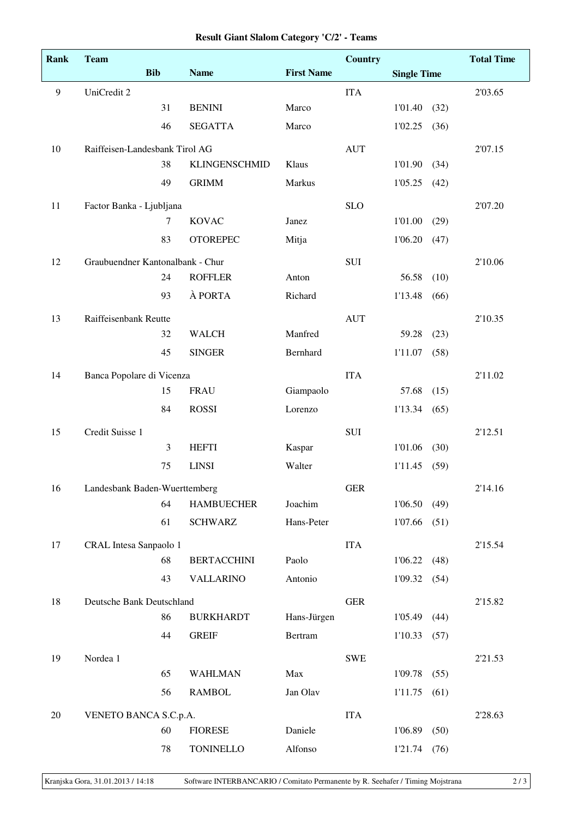| Rank           | <b>Team</b>                      |                |                      |                   | <b>Country</b> |                    |      | <b>Total Time</b> |
|----------------|----------------------------------|----------------|----------------------|-------------------|----------------|--------------------|------|-------------------|
|                |                                  | <b>Bib</b>     | <b>Name</b>          | <b>First Name</b> |                | <b>Single Time</b> |      |                   |
| $\overline{9}$ | UniCredit 2                      |                |                      |                   | <b>ITA</b>     |                    |      | 2'03.65           |
|                |                                  | 31             | <b>BENINI</b>        | Marco             |                | 1'01.40            | (32) |                   |
|                |                                  | 46             | <b>SEGATTA</b>       | Marco             |                | 1'02.25            | (36) |                   |
| 10             | Raiffeisen-Landesbank Tirol AG   |                |                      |                   | <b>AUT</b>     |                    |      | 2'07.15           |
|                |                                  | 38             | <b>KLINGENSCHMID</b> | Klaus             |                | 1'01.90            | (34) |                   |
|                |                                  | 49             | <b>GRIMM</b>         | Markus            |                | 1'05.25            | (42) |                   |
| 11             | Factor Banka - Ljubljana         |                |                      |                   | <b>SLO</b>     |                    |      | 2'07.20           |
|                |                                  | $\tau$         | <b>KOVAC</b>         | Janez             |                | 1'01.00            | (29) |                   |
|                |                                  | 83             | <b>OTOREPEC</b>      | Mitja             |                | 1'06.20            | (47) |                   |
| 12             | Graubuendner Kantonalbank - Chur |                |                      |                   | SUI            |                    |      | 2'10.06           |
|                |                                  | 24             | <b>ROFFLER</b>       | Anton             |                | 56.58              | (10) |                   |
|                |                                  | 93             | À PORTA              | Richard           |                | 1'13.48            | (66) |                   |
| 13             | Raiffeisenbank Reutte            |                |                      |                   | <b>AUT</b>     |                    |      | 2'10.35           |
|                |                                  | 32             | <b>WALCH</b>         | Manfred           |                | 59.28              | (23) |                   |
|                |                                  | 45             | <b>SINGER</b>        | Bernhard          |                | 1'11.07            | (58) |                   |
| 14             | Banca Popolare di Vicenza        |                |                      |                   | <b>ITA</b>     |                    |      | 2'11.02           |
|                |                                  | 15             | <b>FRAU</b>          | Giampaolo         |                | 57.68              | (15) |                   |
|                |                                  | 84             | <b>ROSSI</b>         | Lorenzo           |                | 1'13.34            | (65) |                   |
| 15             | Credit Suisse 1                  |                |                      |                   | SUI            |                    |      | 2'12.51           |
|                |                                  | $\mathfrak{Z}$ | <b>HEFTI</b>         | Kaspar            |                | 1'01.06            | (30) |                   |
|                |                                  | 75             | <b>LINSI</b>         | Walter            |                | 1'11.45            | (59) |                   |
| 16             | Landesbank Baden-Wuerttemberg    |                |                      |                   | <b>GER</b>     |                    |      | 2'14.16           |
|                |                                  | 64             | <b>HAMBUECHER</b>    | Joachim           |                | 1'06.50            | (49) |                   |
|                |                                  | 61             | <b>SCHWARZ</b>       | Hans-Peter        |                | 1'07.66            | (51) |                   |
| 17             | CRAL Intesa Sanpaolo 1           |                |                      |                   | <b>ITA</b>     |                    |      | 2'15.54           |
|                |                                  | 68             | <b>BERTACCHINI</b>   | Paolo             |                | 1'06.22            | (48) |                   |
|                |                                  | 43             | <b>VALLARINO</b>     | Antonio           |                | 1'09.32            | (54) |                   |
| 18             | Deutsche Bank Deutschland        |                |                      |                   | <b>GER</b>     |                    |      | 2'15.82           |
|                |                                  | 86             | <b>BURKHARDT</b>     | Hans-Jürgen       |                | 1'05.49            | (44) |                   |
|                |                                  | 44             | <b>GREIF</b>         | Bertram           |                | 1'10.33            | (57) |                   |
| 19             | Nordea 1                         |                |                      |                   | <b>SWE</b>     |                    |      | 2'21.53           |
|                |                                  | 65             | <b>WAHLMAN</b>       | Max               |                | 1'09.78            | (55) |                   |
|                |                                  | 56             | <b>RAMBOL</b>        | Jan Olav          |                | 1'11.75            | (61) |                   |
| 20             | VENETO BANCA S.C.p.A.            |                |                      |                   | <b>ITA</b>     |                    |      | 2'28.63           |
|                |                                  | 60             | <b>FIORESE</b>       | Daniele           |                | 1'06.89            | (50) |                   |
|                |                                  | 78             | <b>TONINELLO</b>     | Alfonso           |                | 1'21.74            | (76) |                   |

## **Result Giant Slalom Category 'C/2' - Teams**